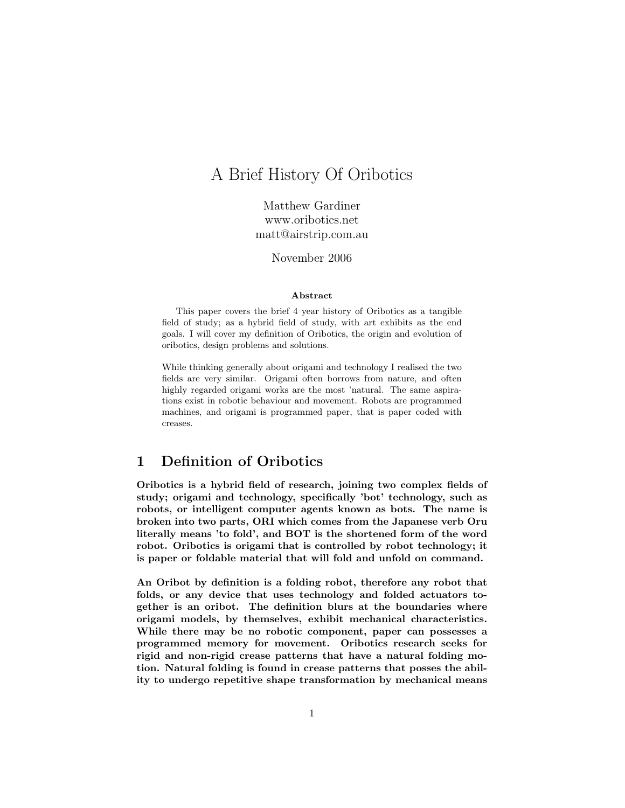# A Brief History Of Oribotics

Matthew Gardiner www.oribotics.net matt@airstrip.com.au

November 2006

#### Abstract

This paper covers the brief 4 year history of Oribotics as a tangible field of study; as a hybrid field of study, with art exhibits as the end goals. I will cover my definition of Oribotics, the origin and evolution of oribotics, design problems and solutions.

While thinking generally about origami and technology I realised the two fields are very similar. Origami often borrows from nature, and often highly regarded origami works are the most 'natural. The same aspirations exist in robotic behaviour and movement. Robots are programmed machines, and origami is programmed paper, that is paper coded with creases.

# 1 Definition of Oribotics

Oribotics is a hybrid field of research, joining two complex fields of study; origami and technology, specifically 'bot' technology, such as robots, or intelligent computer agents known as bots. The name is broken into two parts, ORI which comes from the Japanese verb Oru literally means 'to fold', and BOT is the shortened form of the word robot. Oribotics is origami that is controlled by robot technology; it is paper or foldable material that will fold and unfold on command.

An Oribot by definition is a folding robot, therefore any robot that folds, or any device that uses technology and folded actuators together is an oribot. The definition blurs at the boundaries where origami models, by themselves, exhibit mechanical characteristics. While there may be no robotic component, paper can possesses a programmed memory for movement. Oribotics research seeks for rigid and non-rigid crease patterns that have a natural folding motion. Natural folding is found in crease patterns that posses the ability to undergo repetitive shape transformation by mechanical means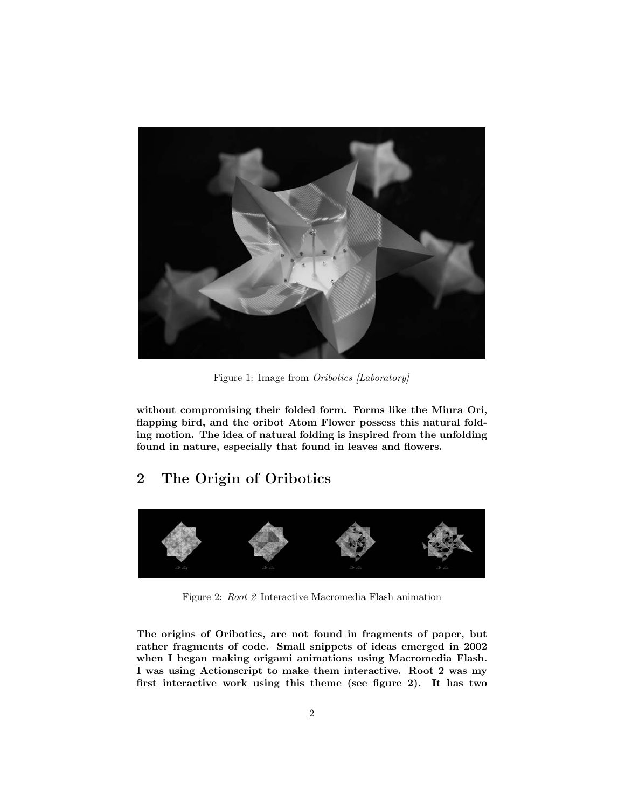

Figure 1: Image from Oribotics [Laboratory]

without compromising their folded form. Forms like the Miura Ori, flapping bird, and the oribot Atom Flower possess this natural folding motion. The idea of natural folding is inspired from the unfolding found in nature, especially that found in leaves and flowers.

# 2 The Origin of Oribotics



Figure 2: Root 2 Interactive Macromedia Flash animation

The origins of Oribotics, are not found in fragments of paper, but rather fragments of code. Small snippets of ideas emerged in 2002 when I began making origami animations using Macromedia Flash. I was using Actionscript to make them interactive. Root 2 was my first interactive work using this theme (see figure 2). It has two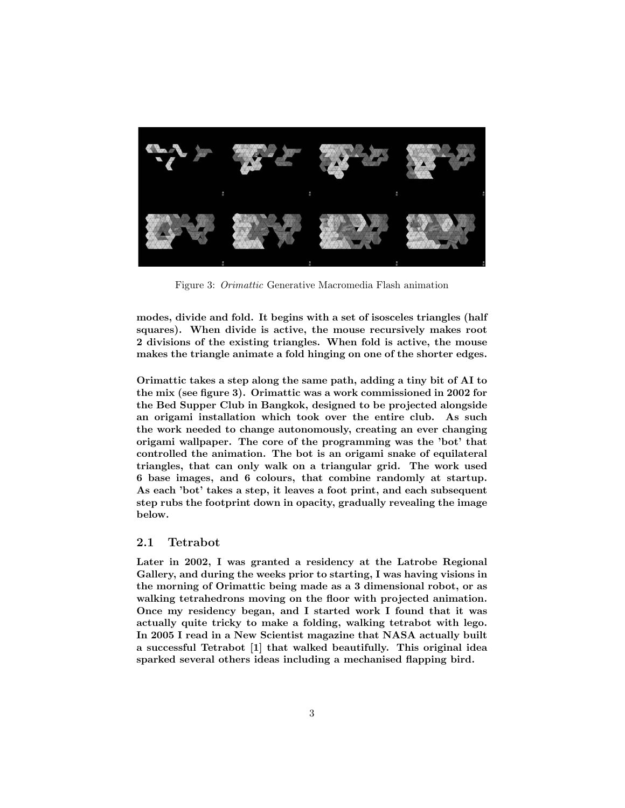

Figure 3: Orimattic Generative Macromedia Flash animation

modes, divide and fold. It begins with a set of isosceles triangles (half squares). When divide is active, the mouse recursively makes root 2 divisions of the existing triangles. When fold is active, the mouse makes the triangle animate a fold hinging on one of the shorter edges.

Orimattic takes a step along the same path, adding a tiny bit of AI to the mix (see figure 3). Orimattic was a work commissioned in 2002 for the Bed Supper Club in Bangkok, designed to be projected alongside an origami installation which took over the entire club. As such the work needed to change autonomously, creating an ever changing origami wallpaper. The core of the programming was the 'bot' that controlled the animation. The bot is an origami snake of equilateral triangles, that can only walk on a triangular grid. The work used 6 base images, and 6 colours, that combine randomly at startup. As each 'bot' takes a step, it leaves a foot print, and each subsequent step rubs the footprint down in opacity, gradually revealing the image below.

#### 2.1 Tetrabot

Later in 2002, I was granted a residency at the Latrobe Regional Gallery, and during the weeks prior to starting, I was having visions in the morning of Orimattic being made as a 3 dimensional robot, or as walking tetrahedrons moving on the floor with projected animation. Once my residency began, and I started work I found that it was actually quite tricky to make a folding, walking tetrabot with lego. In 2005 I read in a New Scientist magazine that NASA actually built a successful Tetrabot [1] that walked beautifully. This original idea sparked several others ideas including a mechanised flapping bird.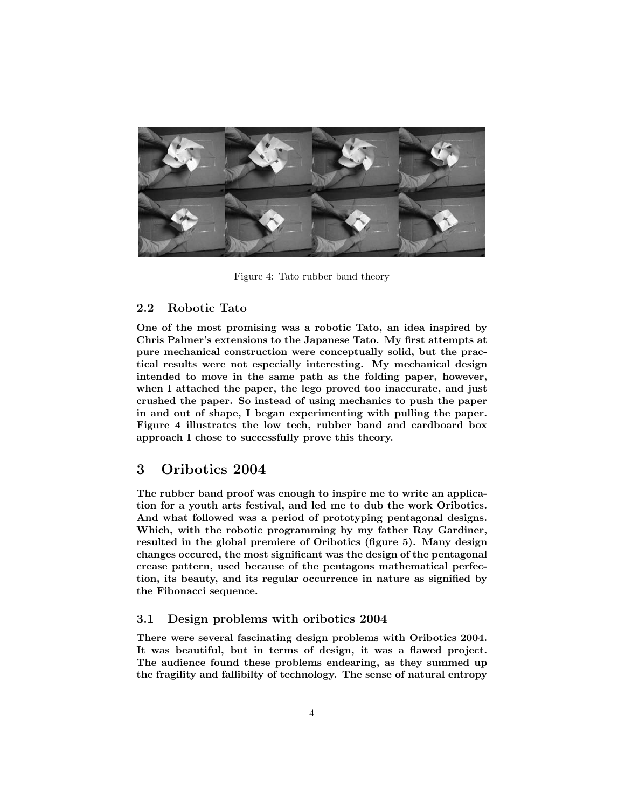

Figure 4: Tato rubber band theory

## 2.2 Robotic Tato

One of the most promising was a robotic Tato, an idea inspired by Chris Palmer's extensions to the Japanese Tato. My first attempts at pure mechanical construction were conceptually solid, but the practical results were not especially interesting. My mechanical design intended to move in the same path as the folding paper, however, when I attached the paper, the lego proved too inaccurate, and just crushed the paper. So instead of using mechanics to push the paper in and out of shape, I began experimenting with pulling the paper. Figure 4 illustrates the low tech, rubber band and cardboard box approach I chose to successfully prove this theory.

## 3 Oribotics 2004

The rubber band proof was enough to inspire me to write an application for a youth arts festival, and led me to dub the work Oribotics. And what followed was a period of prototyping pentagonal designs. Which, with the robotic programming by my father Ray Gardiner, resulted in the global premiere of Oribotics (figure 5). Many design changes occured, the most significant was the design of the pentagonal crease pattern, used because of the pentagons mathematical perfection, its beauty, and its regular occurrence in nature as signified by the Fibonacci sequence.

## 3.1 Design problems with oribotics 2004

There were several fascinating design problems with Oribotics 2004. It was beautiful, but in terms of design, it was a flawed project. The audience found these problems endearing, as they summed up the fragility and fallibilty of technology. The sense of natural entropy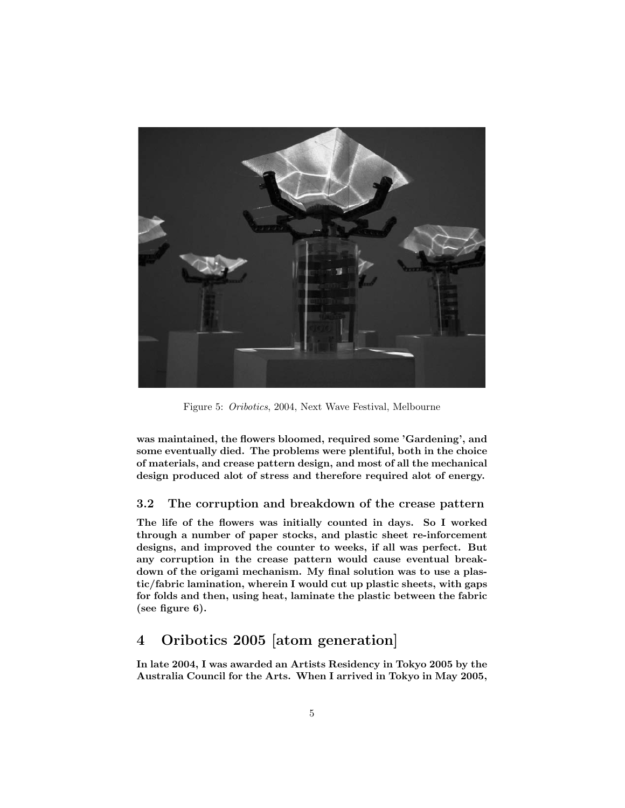

Figure 5: Oribotics, 2004, Next Wave Festival, Melbourne

was maintained, the flowers bloomed, required some 'Gardening', and some eventually died. The problems were plentiful, both in the choice of materials, and crease pattern design, and most of all the mechanical design produced alot of stress and therefore required alot of energy.

## 3.2 The corruption and breakdown of the crease pattern

The life of the flowers was initially counted in days. So I worked through a number of paper stocks, and plastic sheet re-inforcement designs, and improved the counter to weeks, if all was perfect. But any corruption in the crease pattern would cause eventual breakdown of the origami mechanism. My final solution was to use a plastic/fabric lamination, wherein I would cut up plastic sheets, with gaps for folds and then, using heat, laminate the plastic between the fabric (see figure 6).

# 4 Oribotics 2005 [atom generation]

In late 2004, I was awarded an Artists Residency in Tokyo 2005 by the Australia Council for the Arts. When I arrived in Tokyo in May 2005,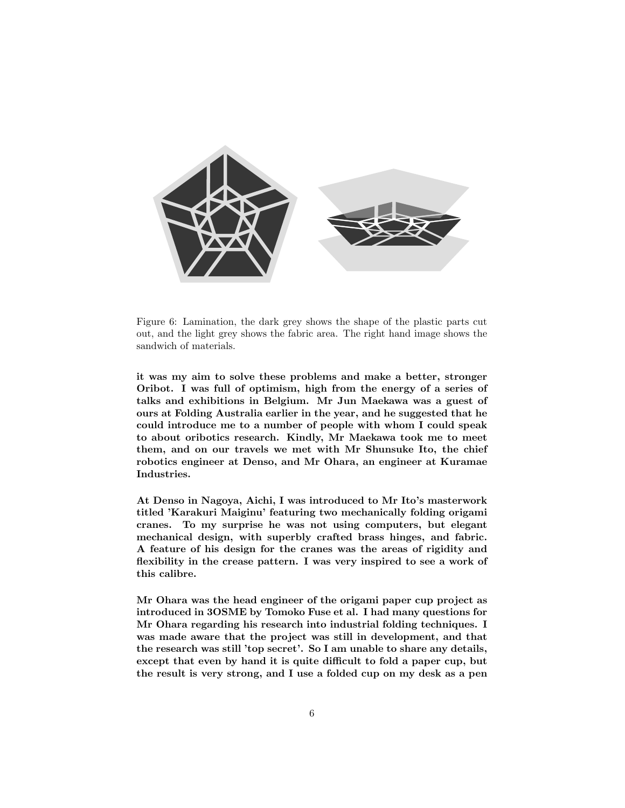

Figure 6: Lamination, the dark grey shows the shape of the plastic parts cut out, and the light grey shows the fabric area. The right hand image shows the sandwich of materials.

it was my aim to solve these problems and make a better, stronger Oribot. I was full of optimism, high from the energy of a series of talks and exhibitions in Belgium. Mr Jun Maekawa was a guest of ours at Folding Australia earlier in the year, and he suggested that he could introduce me to a number of people with whom I could speak to about oribotics research. Kindly, Mr Maekawa took me to meet them, and on our travels we met with Mr Shunsuke Ito, the chief robotics engineer at Denso, and Mr Ohara, an engineer at Kuramae Industries.

At Denso in Nagoya, Aichi, I was introduced to Mr Ito's masterwork titled 'Karakuri Maiginu' featuring two mechanically folding origami cranes. To my surprise he was not using computers, but elegant mechanical design, with superbly crafted brass hinges, and fabric. A feature of his design for the cranes was the areas of rigidity and flexibility in the crease pattern. I was very inspired to see a work of this calibre.

Mr Ohara was the head engineer of the origami paper cup project as introduced in 3OSME by Tomoko Fuse et al. I had many questions for Mr Ohara regarding his research into industrial folding techniques. I was made aware that the project was still in development, and that the research was still 'top secret'. So I am unable to share any details, except that even by hand it is quite difficult to fold a paper cup, but the result is very strong, and I use a folded cup on my desk as a pen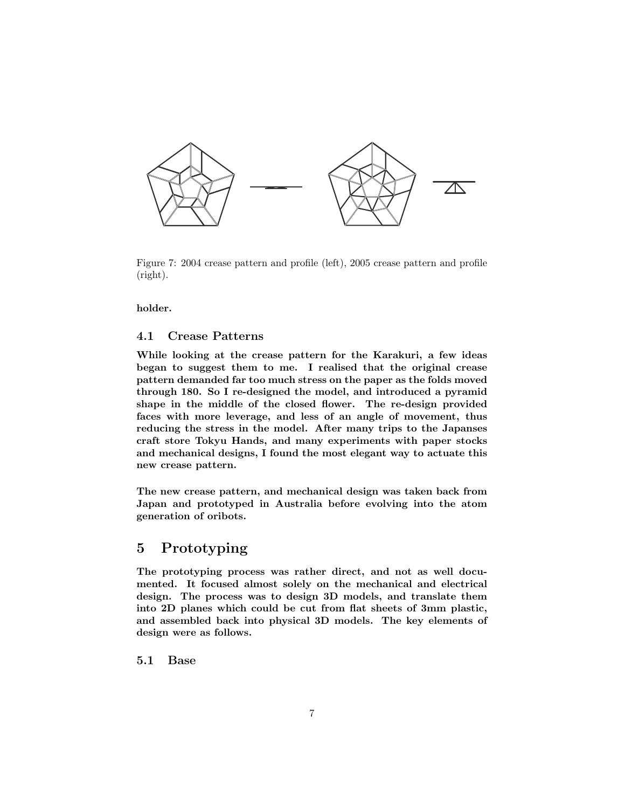

Figure 7: 2004 crease pattern and profile (left), 2005 crease pattern and profile (right).

holder.

## 4.1 Crease Patterns

While looking at the crease pattern for the Karakuri, a few ideas began to suggest them to me. I realised that the original crease pattern demanded far too much stress on the paper as the folds moved through 180. So I re-designed the model, and introduced a pyramid shape in the middle of the closed flower. The re-design provided faces with more leverage, and less of an angle of movement, thus reducing the stress in the model. After many trips to the Japanses craft store Tokyu Hands, and many experiments with paper stocks and mechanical designs, I found the most elegant way to actuate this new crease pattern.

The new crease pattern, and mechanical design was taken back from Japan and prototyped in Australia before evolving into the atom generation of oribots.

# 5 Prototyping

The prototyping process was rather direct, and not as well documented. It focused almost solely on the mechanical and electrical design. The process was to design 3D models, and translate them into 2D planes which could be cut from flat sheets of 3mm plastic, and assembled back into physical 3D models. The key elements of design were as follows.

## 5.1 Base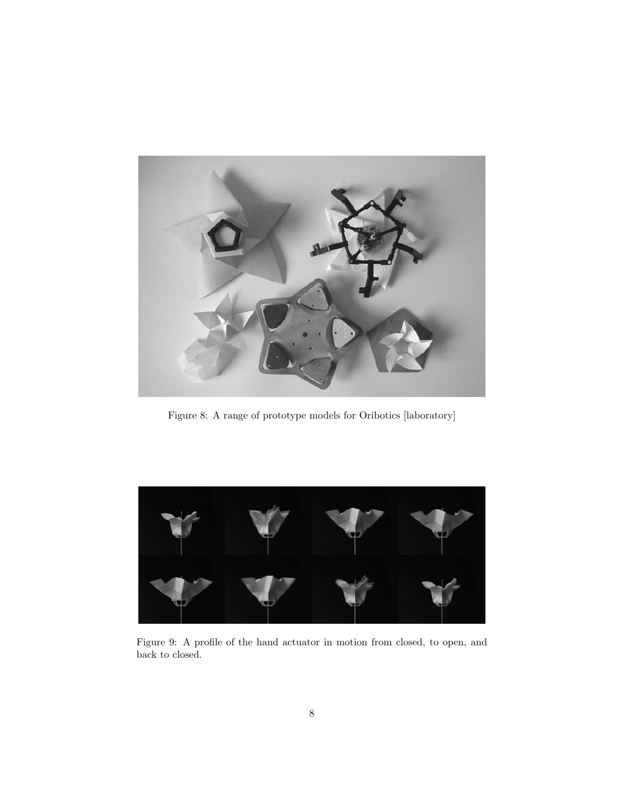

Figure 8: A range of prototype models for Oribotics [laboratory]



Figure 9: A profile of the hand actuator in motion from closed, to open, and back to closed.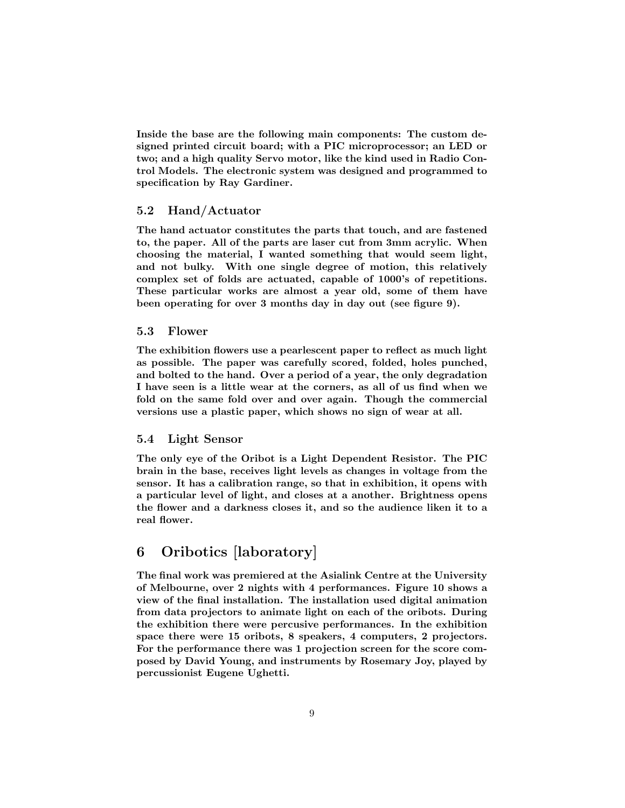Inside the base are the following main components: The custom designed printed circuit board; with a PIC microprocessor; an LED or two; and a high quality Servo motor, like the kind used in Radio Control Models. The electronic system was designed and programmed to specification by Ray Gardiner.

## 5.2 Hand/Actuator

The hand actuator constitutes the parts that touch, and are fastened to, the paper. All of the parts are laser cut from 3mm acrylic. When choosing the material, I wanted something that would seem light, and not bulky. With one single degree of motion, this relatively complex set of folds are actuated, capable of 1000's of repetitions. These particular works are almost a year old, some of them have been operating for over 3 months day in day out (see figure 9).

#### 5.3 Flower

The exhibition flowers use a pearlescent paper to reflect as much light as possible. The paper was carefully scored, folded, holes punched, and bolted to the hand. Over a period of a year, the only degradation I have seen is a little wear at the corners, as all of us find when we fold on the same fold over and over again. Though the commercial versions use a plastic paper, which shows no sign of wear at all.

#### 5.4 Light Sensor

The only eye of the Oribot is a Light Dependent Resistor. The PIC brain in the base, receives light levels as changes in voltage from the sensor. It has a calibration range, so that in exhibition, it opens with a particular level of light, and closes at a another. Brightness opens the flower and a darkness closes it, and so the audience liken it to a real flower.

# 6 Oribotics [laboratory]

The final work was premiered at the Asialink Centre at the University of Melbourne, over 2 nights with 4 performances. Figure 10 shows a view of the final installation. The installation used digital animation from data projectors to animate light on each of the oribots. During the exhibition there were percusive performances. In the exhibition space there were 15 oribots, 8 speakers, 4 computers, 2 projectors. For the performance there was 1 projection screen for the score composed by David Young, and instruments by Rosemary Joy, played by percussionist Eugene Ughetti.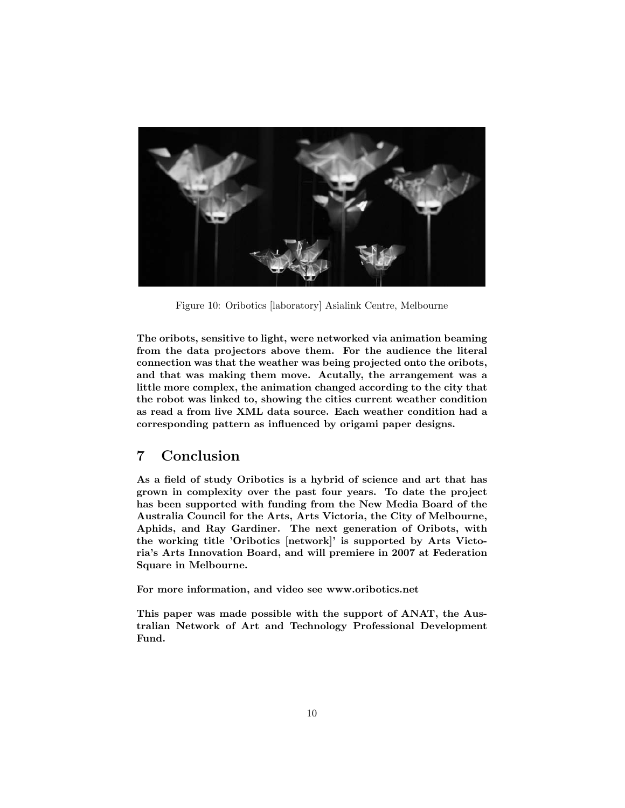

Figure 10: Oribotics [laboratory] Asialink Centre, Melbourne

The oribots, sensitive to light, were networked via animation beaming from the data projectors above them. For the audience the literal connection was that the weather was being projected onto the oribots, and that was making them move. Acutally, the arrangement was a little more complex, the animation changed according to the city that the robot was linked to, showing the cities current weather condition as read a from live XML data source. Each weather condition had a corresponding pattern as influenced by origami paper designs.

# 7 Conclusion

As a field of study Oribotics is a hybrid of science and art that has grown in complexity over the past four years. To date the project has been supported with funding from the New Media Board of the Australia Council for the Arts, Arts Victoria, the City of Melbourne, Aphids, and Ray Gardiner. The next generation of Oribots, with the working title 'Oribotics [network]' is supported by Arts Victoria's Arts Innovation Board, and will premiere in 2007 at Federation Square in Melbourne.

For more information, and video see www.oribotics.net

This paper was made possible with the support of ANAT, the Australian Network of Art and Technology Professional Development Fund.